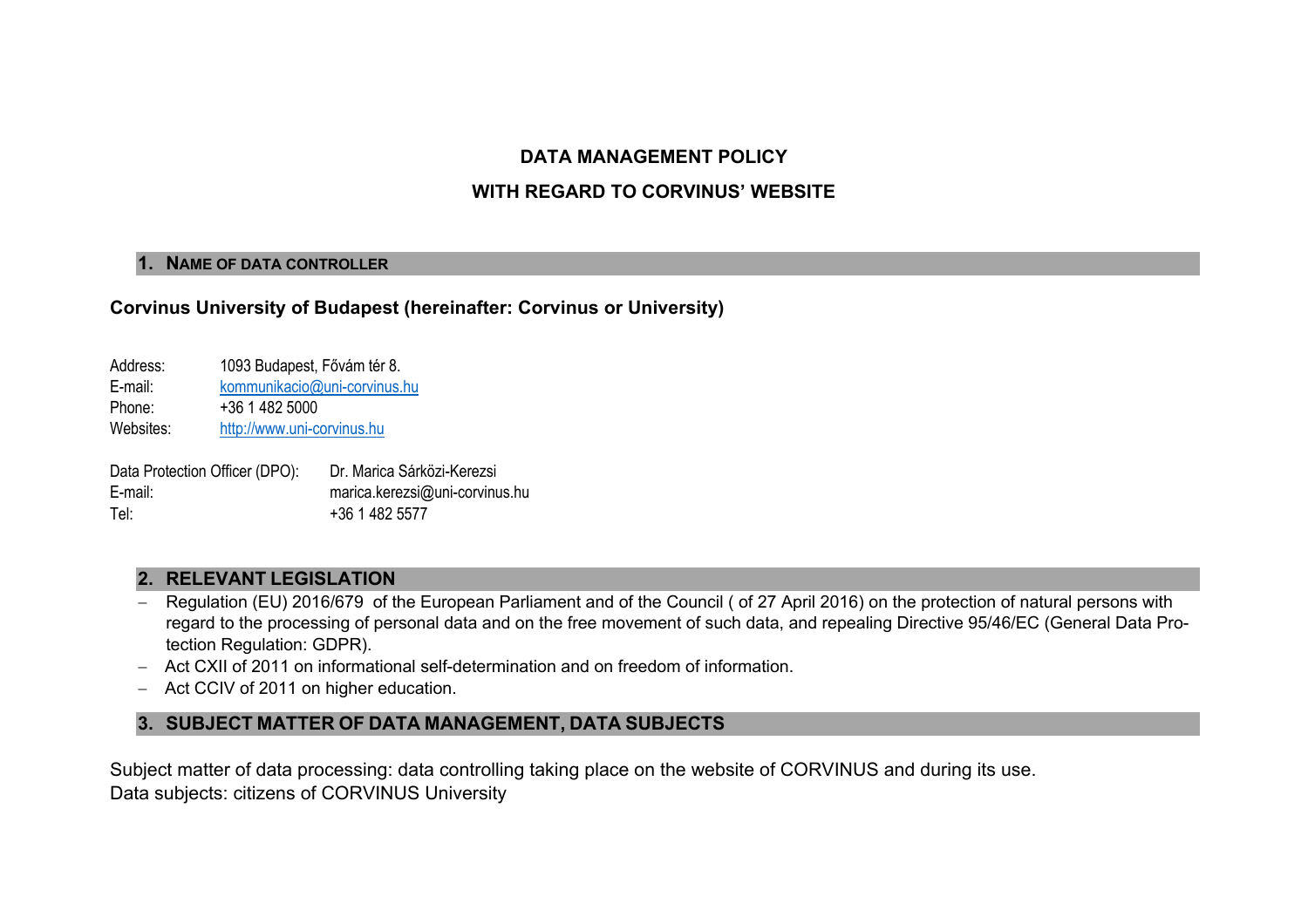### **DATA MANAGEMENT POLICY**

### **WITH REGARD TO CORVINUS' WEBSITE**

#### **1. NAME OF DATA CONTROLLER**

### **Corvinus University of Budapest (hereinafter: Corvinus or University)**

| Address:  | 1093 Budapest, Fővám tér 8.  |  |  |  |
|-----------|------------------------------|--|--|--|
| E-mail:   | kommunikacio@uni-corvinus.hu |  |  |  |
| Phone:    | +36 1 482 5000               |  |  |  |
| Websites: | http://www.uni-corvinus.hu   |  |  |  |
|           |                              |  |  |  |

Data Protection Officer (DPO): Dr. Marica Sárközi-Kerezsi E-mail: marica.kerezsi@uni-corvinus.hu Tel: +36 1 482 5577

# **2. RELEVANT LEGISLATION**

- Regulation (EU) 2016/679 of the European Parliament and of the Council (of 27 April 2016) on the protection of natural persons with regard to the processing of personal data and on the free movement of such data, and repealing Directive 95/46/EC (General Data Protection Regulation: GDPR).
- Act CXII of 2011 on informational self-determination and on freedom of information.
- Act CCIV of 2011 on higher education.

# **3. SUBJECT MATTER OF DATA MANAGEMENT, DATA SUBJECTS**

Subject matter of data processing: data controlling taking place on the website of CORVINUS and during its use. Data subjects: citizens of CORVINUS University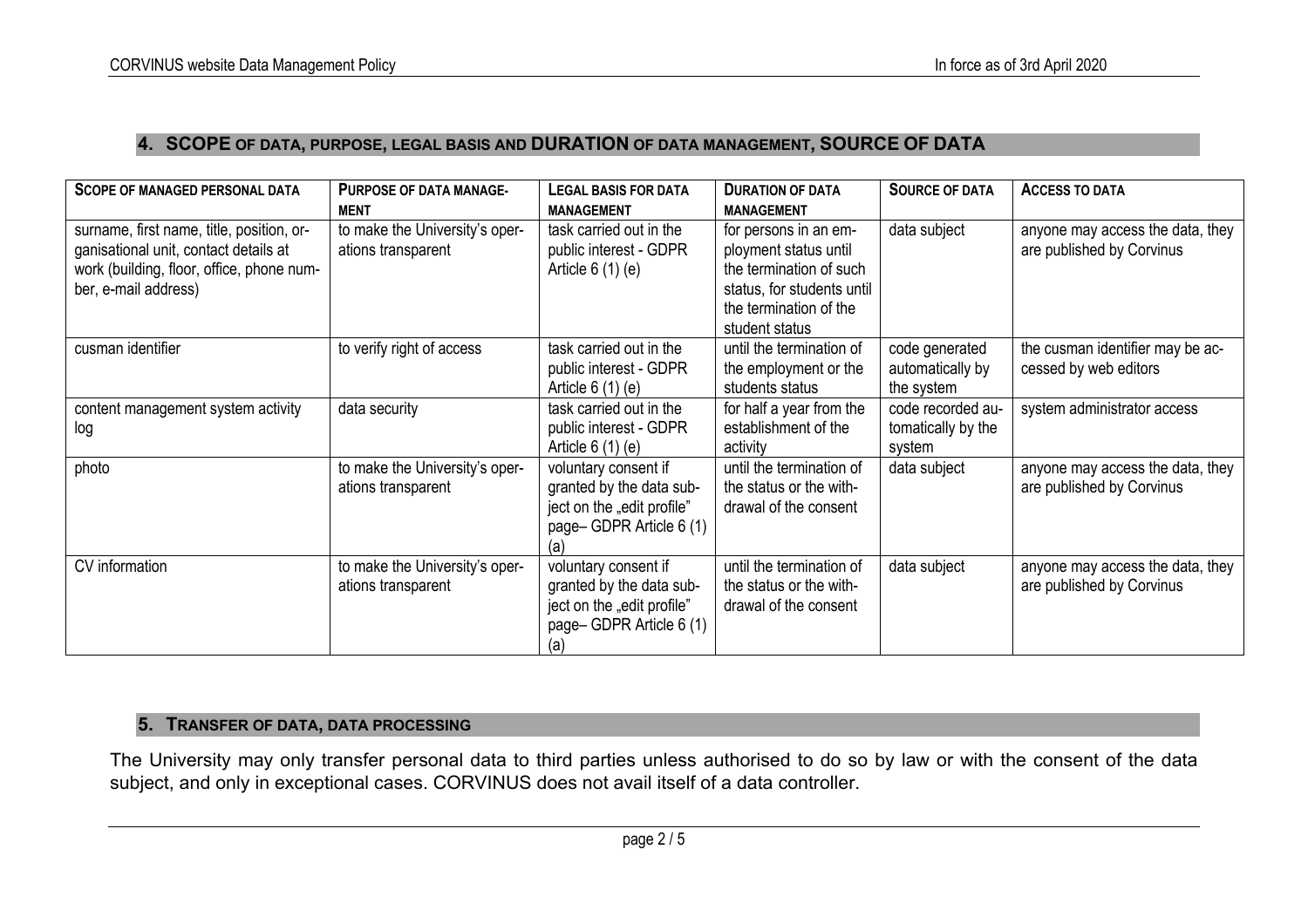### **4. SCOPE OF DATA, PURPOSE, LEGAL BASIS AND DURATION OF DATA MANAGEMENT, SOURCE OF DATA**

| <b>SCOPE OF MANAGED PERSONAL DATA</b>                                                                                                                   | <b>PURPOSE OF DATA MANAGE-</b><br><b>MENT</b>        | LEGAL BASIS FOR DATA<br><b>MANAGEMENT</b>                                                                        | <b>DURATION OF DATA</b><br><b>MANAGEMENT</b>                                                                                                        | <b>SOURCE OF DATA</b>                             | <b>ACCESS TO DATA</b>                                         |
|---------------------------------------------------------------------------------------------------------------------------------------------------------|------------------------------------------------------|------------------------------------------------------------------------------------------------------------------|-----------------------------------------------------------------------------------------------------------------------------------------------------|---------------------------------------------------|---------------------------------------------------------------|
| surname, first name, title, position, or-<br>ganisational unit, contact details at<br>work (building, floor, office, phone num-<br>ber, e-mail address) | to make the University's oper-<br>ations transparent | task carried out in the<br>public interest - GDPR<br>Article $6(1)(e)$                                           | for persons in an em-<br>ployment status until<br>the termination of such<br>status, for students until<br>the termination of the<br>student status | data subject                                      | anyone may access the data, they<br>are published by Corvinus |
| cusman identifier                                                                                                                                       | to verify right of access                            | task carried out in the<br>public interest - GDPR<br>Article $6(1)(e)$                                           | until the termination of<br>the employment or the<br>students status                                                                                | code generated<br>automatically by<br>the system  | the cusman identifier may be ac-<br>cessed by web editors     |
| content management system activity<br>log                                                                                                               | data security                                        | task carried out in the<br>public interest - GDPR<br>Article $6(1)(e)$                                           | for half a year from the<br>establishment of the<br>activity                                                                                        | code recorded au-<br>tomatically by the<br>system | system administrator access                                   |
| photo                                                                                                                                                   | to make the University's oper-<br>ations transparent | voluntary consent if<br>granted by the data sub-<br>ject on the "edit profile"<br>page-GDPR Article 6 (1)<br>(a) | until the termination of<br>the status or the with-<br>drawal of the consent                                                                        | data subject                                      | anyone may access the data, they<br>are published by Corvinus |
| CV information                                                                                                                                          | to make the University's oper-<br>ations transparent | voluntary consent if<br>granted by the data sub-<br>ject on the "edit profile"<br>page-GDPR Article 6 (1)<br>(a) | until the termination of<br>the status or the with-<br>drawal of the consent                                                                        | data subject                                      | anyone may access the data, they<br>are published by Corvinus |

### **5. TRANSFER OF DATA, DATA PROCESSING**

The University may only transfer personal data to third parties unless authorised to do so by law or with the consent of the data subject, and only in exceptional cases. CORVINUS does not avail itself of a data controller.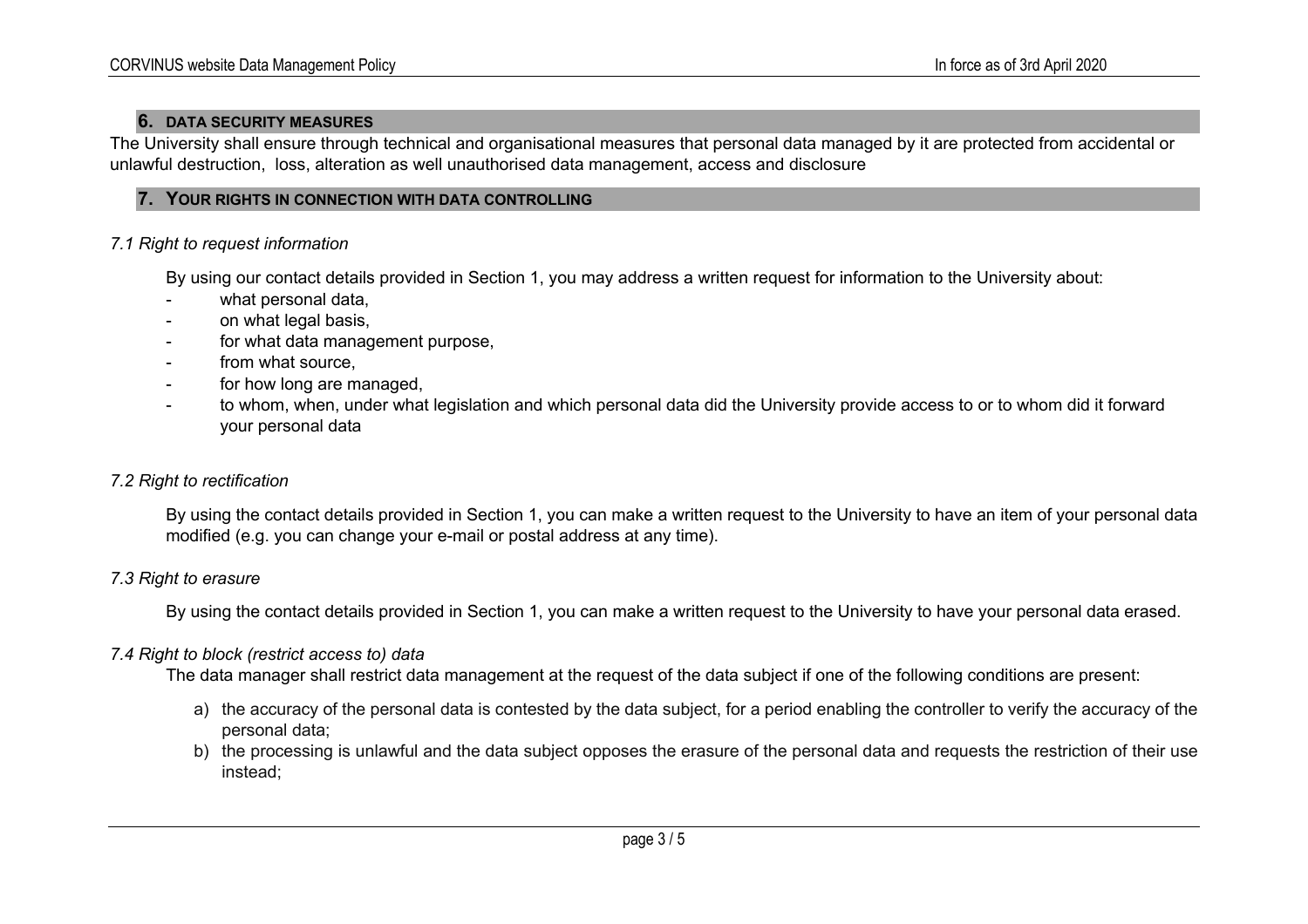### **6. DATA SECURITY MEASURES**

The University shall ensure through technical and organisational measures that personal data managed by it are protected from accidental or unlawful destruction, loss, alteration as well unauthorised data management, access and disclosure

#### **7. YOUR RIGHTS IN CONNECTION WITH DATA CONTROLLING**

### *7.1 Right to request information*

By using our contact details provided in Section 1, you may address a written request for information to the University about:

- what personal data,
- on what legal basis,
- for what data management purpose.
- from what source.
- for how long are managed,
- to whom, when, under what legislation and which personal data did the University provide access to or to whom did it forward your personal data

### *7.2 Right to rectification*

By using the contact details provided in Section 1, you can make a written request to the University to have an item of your personal data modified (e.g. you can change your e-mail or postal address at any time).

### *7.3 Right to erasure*

By using the contact details provided in Section 1, you can make a written request to the University to have your personal data erased.

### *7.4 Right to block (restrict access to) data*

The data manager shall restrict data management at the request of the data subject if one of the following conditions are present:

- a) the accuracy of the personal data is contested by the data subject, for a period enabling the controller to verify the accuracy of the personal data;
- b) the processing is unlawful and the data subject opposes the erasure of the personal data and requests the restriction of their use instead;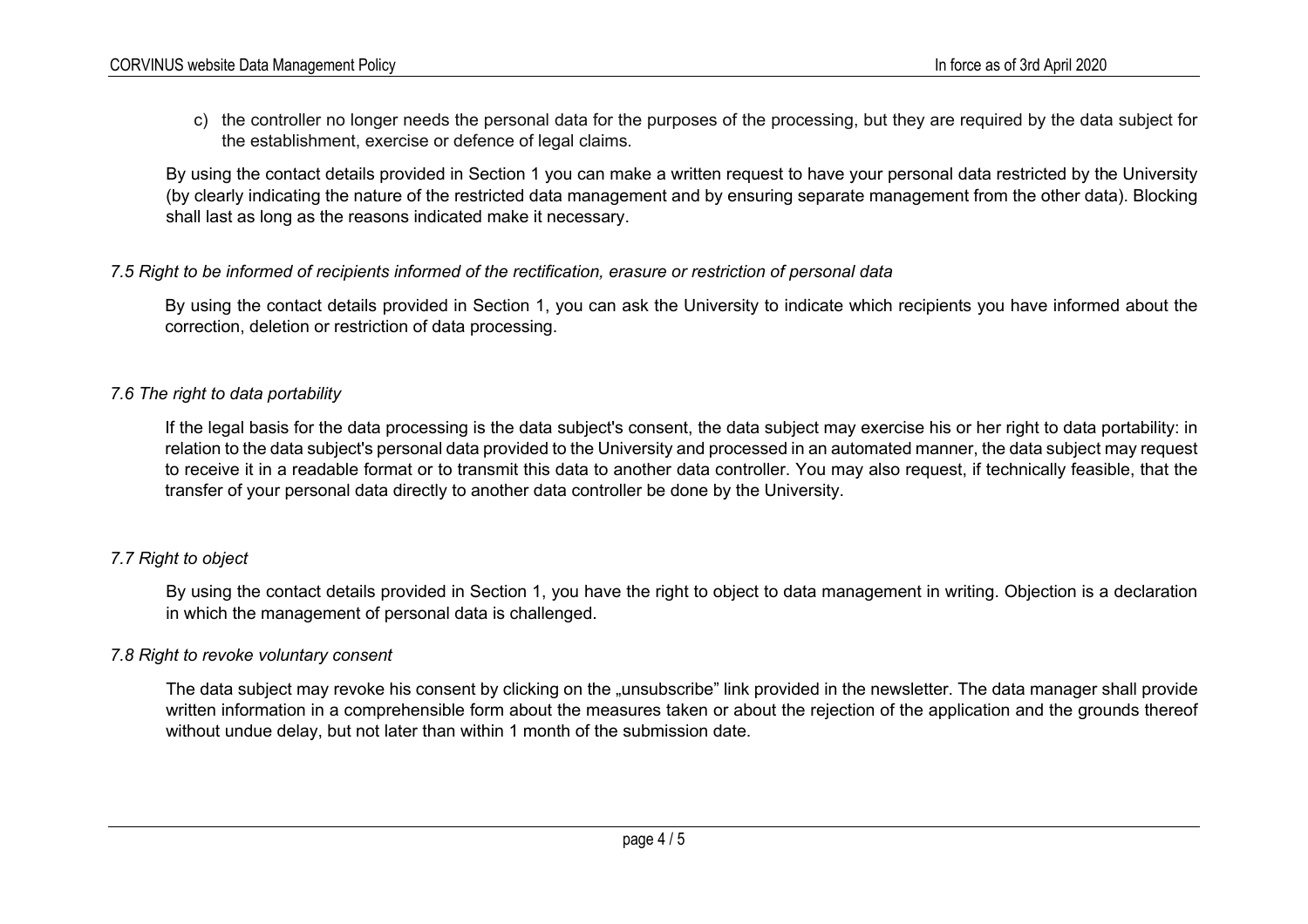c) the controller no longer needs the personal data for the purposes of the processing, but they are required by the data subject for the establishment, exercise or defence of legal claims.

By using the contact details provided in Section 1 you can make a written request to have your personal data restricted by the University (by clearly indicating the nature of the restricted data management and by ensuring separate management from the other data). Blocking shall last as long as the reasons indicated make it necessary.

### *7.5 Right to be informed of recipients informed of the rectification, erasure or restriction of personal data*

By using the contact details provided in Section 1, you can ask the University to indicate which recipients you have informed about the correction, deletion or restriction of data processing.

### *7.6 The right to data portability*

If the legal basis for the data processing is the data subject's consent, the data subject may exercise his or her right to data portability: in relation to the data subject's personal data provided to the University and processed in an automated manner, the data subject may request to receive it in a readable format or to transmit this data to another data controller. You may also request, if technically feasible, that the transfer of your personal data directly to another data controller be done by the University.

# *7.7 Right to object*

By using the contact details provided in Section 1, you have the right to object to data management in writing. Objection is a declaration in which the management of personal data is challenged.

### *7.8 Right to revoke voluntary consent*

The data subject may revoke his consent by clicking on the "unsubscribe" link provided in the newsletter. The data manager shall provide written information in a comprehensible form about the measures taken or about the rejection of the application and the grounds thereof without undue delay, but not later than within 1 month of the submission date.